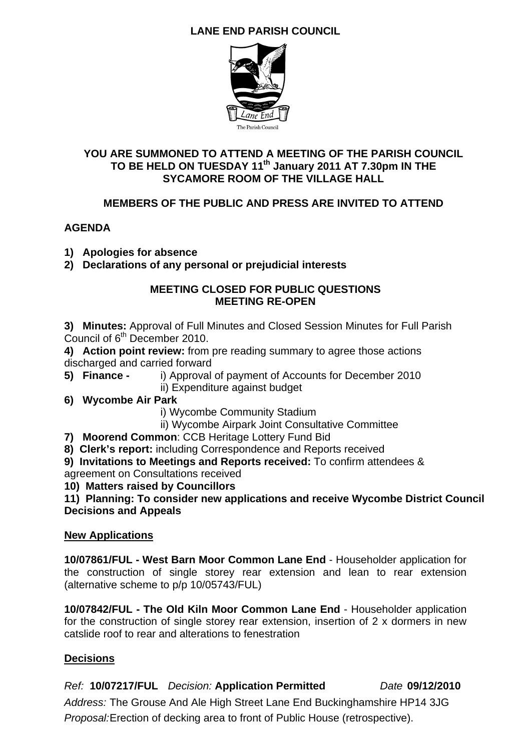## **LANE END PARISH COUNCIL**



#### **YOU ARE SUMMONED TO ATTEND A MEETING OF THE PARISH COUNCIL**  TO BE HELD ON TUESDAY 11<sup>th</sup> January 2011 AT 7.30pm IN THE **SYCAMORE ROOM OF THE VILLAGE HALL**

#### **MEMBERS OF THE PUBLIC AND PRESS ARE INVITED TO ATTEND**

#### **AGENDA**

- **1) Apologies for absence**
- **2) Declarations of any personal or prejudicial interests**

#### **MEETING CLOSED FOR PUBLIC QUESTIONS MEETING RE-OPEN**

**3) Minutes:** Approval of Full Minutes and Closed Session Minutes for Full Parish Council of  $6<sup>th</sup>$  December 2010.

**4) Action point review:** from pre reading summary to agree those actions discharged and carried forward

- **5) Finance** i) Approval of payment of Accounts for December 2010 ii) Expenditure against budget
- **6) Wycombe Air Park**

i) Wycombe Community Stadium

- ii) Wycombe Airpark Joint Consultative Committee
- **7) Moorend Common**: CCB Heritage Lottery Fund Bid
- **8) Clerk's report:** including Correspondence and Reports received

**9) Invitations to Meetings and Reports received:** To confirm attendees & agreement on Consultations received

**10) Matters raised by Councillors** 

**11) Planning: To consider new applications and receive Wycombe District Council Decisions and Appeals** 

#### **New Applications**

**10/07861/FUL - West Barn Moor Common Lane End** - Householder application for the construction of single storey rear extension and lean to rear extension (alternative scheme to p/p 10/05743/FUL)

**10/07842/FUL - The Old Kiln Moor Common Lane End** - Householder application for the construction of single storey rear extension, insertion of 2 x dormers in new catslide roof to rear and alterations to fenestration

#### **Decisions**

*Ref:* **10/07217/FUL** *Decision:* **Application Permitted** *Date* **09/12/2010** 

*Address:* The Grouse And Ale High Street Lane End Buckinghamshire HP14 3JG *Proposal:*Erection of decking area to front of Public House (retrospective).